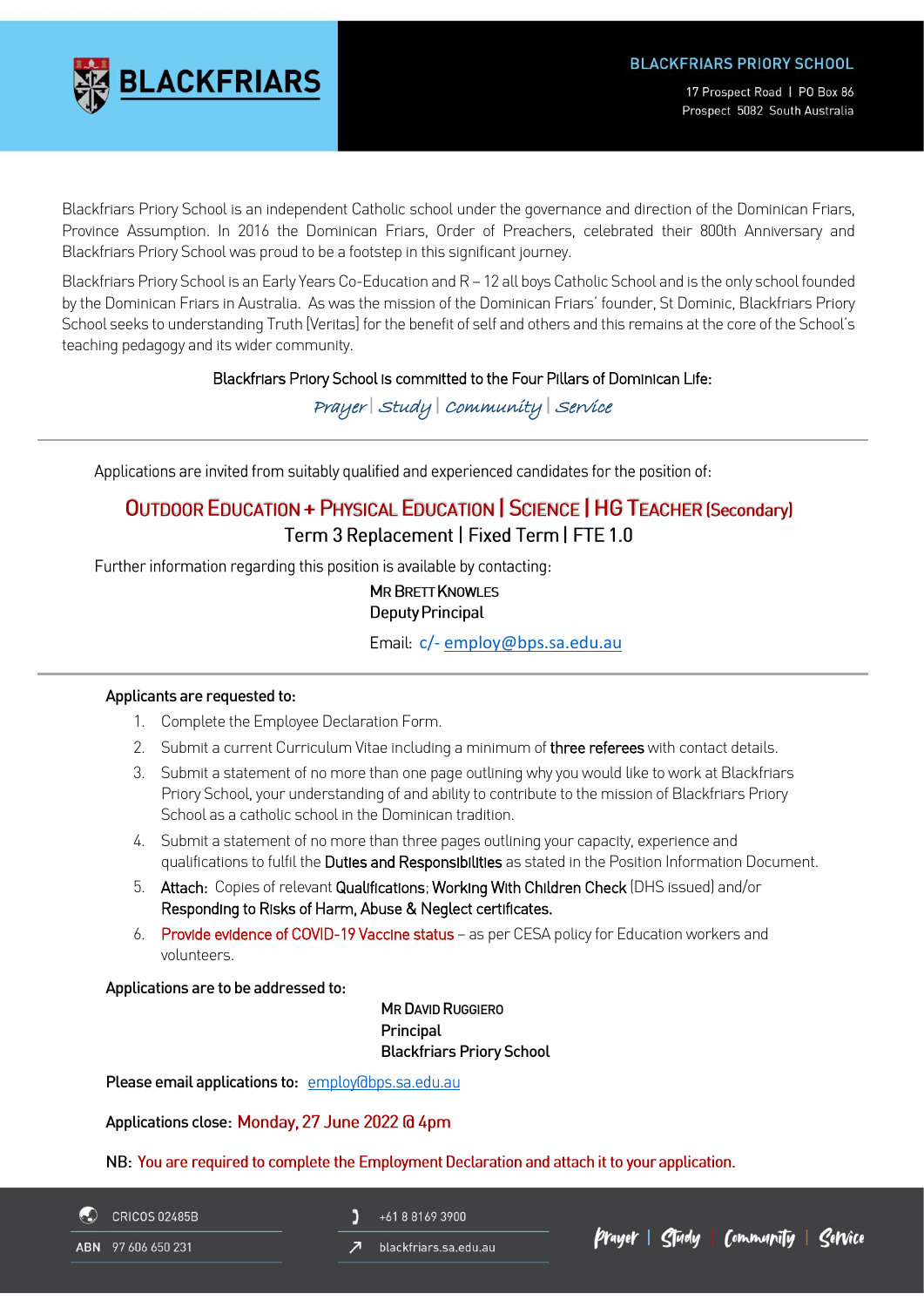# **LACKFRIARS**

17 Prospect Road | PO Box 86 Prospect 5082 South Australia

Blackfriars Priory School is an independent Catholic school under the governance and direction of the Dominican Friars, Province Assumption. In 2016 the Dominican Friars, Order of Preachers, celebrated their 800th Anniversary and Blackfriars Priory School was proud to be a footstep in this significant journey.

Blackfriars Priory School is an Early Years Co-Education and R – 12 all boys Catholic School and is the only school founded by the Dominican Friars in Australia. As was the mission of the Dominican Friars' founder, St Dominic, Blackfriars Priory School seeks to understanding Truth [Veritas] for the benefit of self and others and this remains at the core of the School's teaching pedagogy and its wider community.

#### Blackfriars Priory School is committed to the Four Pillars of Dominican Life:

Prayer | Study | Community | Service

Applications are invited from suitably qualified and experienced candidates for the position of:

### **OUTDOOR EDUCATION + PHYSICAL EDUCATION | SCIENCE | HG TEACHER (Secondary)** Term 3 Replacement | Fixed Term | FTE 1.0

Further information regarding this position is available by contacting:

**MR BRETT KNOWLES Deputy Principal** 

Email: [c/-](mailto:druggiero@bps.sa.edu.au) [employ@bps.sa.edu.au](mailto:employ@bps.sa.edu.au?subject=Enquiry:%20%20Japanese%20Teacher%20R-7)

#### Applicants are requested to:

- 1. Complete the Employee Declaration Form.
- 2. Submit a current Curriculum Vitae including a minimum of three referees with contact details.
- 3. Submit a statement of no more than one page outlining why you would like to work at Blackfriars Priory School, your understanding of and ability to contribute to the mission of Blackfriars Priory School as a catholic school in the Dominican tradition.
- 4. Submit a statement of no more than three pages outlining your capacity, experience and qualifications to fulfil the Duties and Responsibilities as stated in the Position Information Document.
- 5. Attach: Copies of relevant Qualifications; Working With Children Check (DHS issued) and/or Responding to Risks of Harm, Abuse & Neglect certificates.
- 6. Provide evidence of COVID-19 Vaccine status as per CESA policy for Education workers and volunteers.

Applications are to be addressed to:

MR DAVID RUGGIERO **Principal** Blackfriars Priory School

Please email applications to: employ@bps.sa.edu.au

Applications close: Monday, 27 June 2022 @ 4pm

NB: You are required to complete the Employment Declaration and attach it to your application.

**CRICOS 02485B** ABN 97 606 650 231

- Ľ +61 8 8169 3900
- blackfriars.sa.edu.au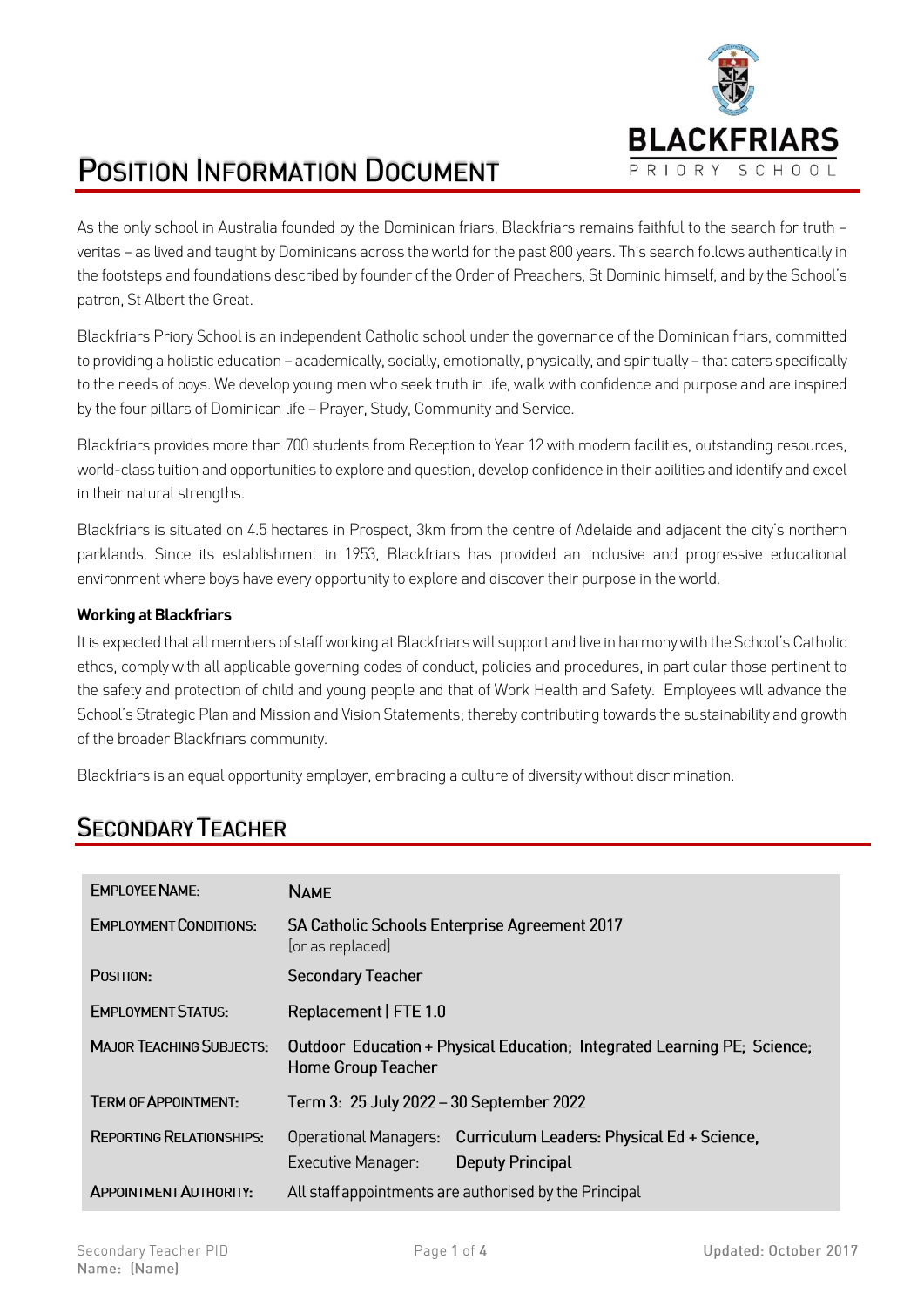

# **POSITION INFORMATION DOCUMENT**

As the only school in Australia founded by the Dominican friars, Blackfriars remains faithful to the search for truth – veritas – as lived and taught by Dominicans across the world for the past 800 years. This search follows authentically in the footsteps and foundations described by founder of the Order of Preachers, St Dominic himself, and by the School's patron, St Albert the Great.

Blackfriars Priory School is an independent Catholic school under the governance of the Dominican friars, committed to providing a holistic education – academically, socially, emotionally, physically, and spiritually – that caters specifically to the needs of boys. We develop young men who seek truth in life, walk with confidence and purpose and are inspired by the four pillars of Dominican life – Prayer, Study, Community and Service.

Blackfriars provides more than 700 students from Reception to Year 12 with modern facilities, outstanding resources, world-class tuition and opportunities to explore and question, develop confidence in their abilities and identify and excel in their natural strengths.

Blackfriars is situated on 4.5 hectares in Prospect, 3km from the centre of Adelaide and adjacent the city's northern parklands. Since its establishment in 1953, Blackfriars has provided an inclusive and progressive educational environment where boys have every opportunity to explore and discover their purpose in the world.

#### **Working at Blackfriars**

It is expected that all members of staff working at Blackfriars will support and live in harmony with the School's Catholic ethos, comply with all applicable governing codes of conduct, policies and procedures, in particular those pertinent to the safety and protection of child and young people and that of Work Health and Safety. Employees will advance the School's Strategic Plan and Mission and Vision Statements; thereby contributing towards the sustainability and growth of the broader Blackfriars community.

Blackfriars is an equal opportunity employer, embracing a culture of diversity without discrimination.

## **SECONDARY TEACHER**

| <b>EMPLOYEE NAME:</b>           | <b>NAME</b>                                                                                                                 |  |  |
|---------------------------------|-----------------------------------------------------------------------------------------------------------------------------|--|--|
| <b>EMPLOYMENT CONDITIONS:</b>   | <b>SA Catholic Schools Enterprise Agreement 2017</b><br>[or as replaced]                                                    |  |  |
| POSITION:                       | <b>Secondary Teacher</b>                                                                                                    |  |  |
| <b>FMPI OYMENT STATUS:</b>      | Replacement   FTE 1.0                                                                                                       |  |  |
| <b>MAJOR TEACHING SUBJECTS:</b> | Outdoor Education + Physical Education; Integrated Learning PE; Science;<br><b>Home Group Teacher</b>                       |  |  |
| <b>TERM OF APPOINTMENT:</b>     | Term 3: 25 July 2022 - 30 September 2022                                                                                    |  |  |
| <b>REPORTING RELATIONSHIPS:</b> | Curriculum Leaders: Physical Ed + Science,<br>Operational Managers:<br><b>Executive Manager:</b><br><b>Deputy Principal</b> |  |  |
| <b>APPOINTMENT AUTHORITY:</b>   | All staff appointments are authorised by the Principal                                                                      |  |  |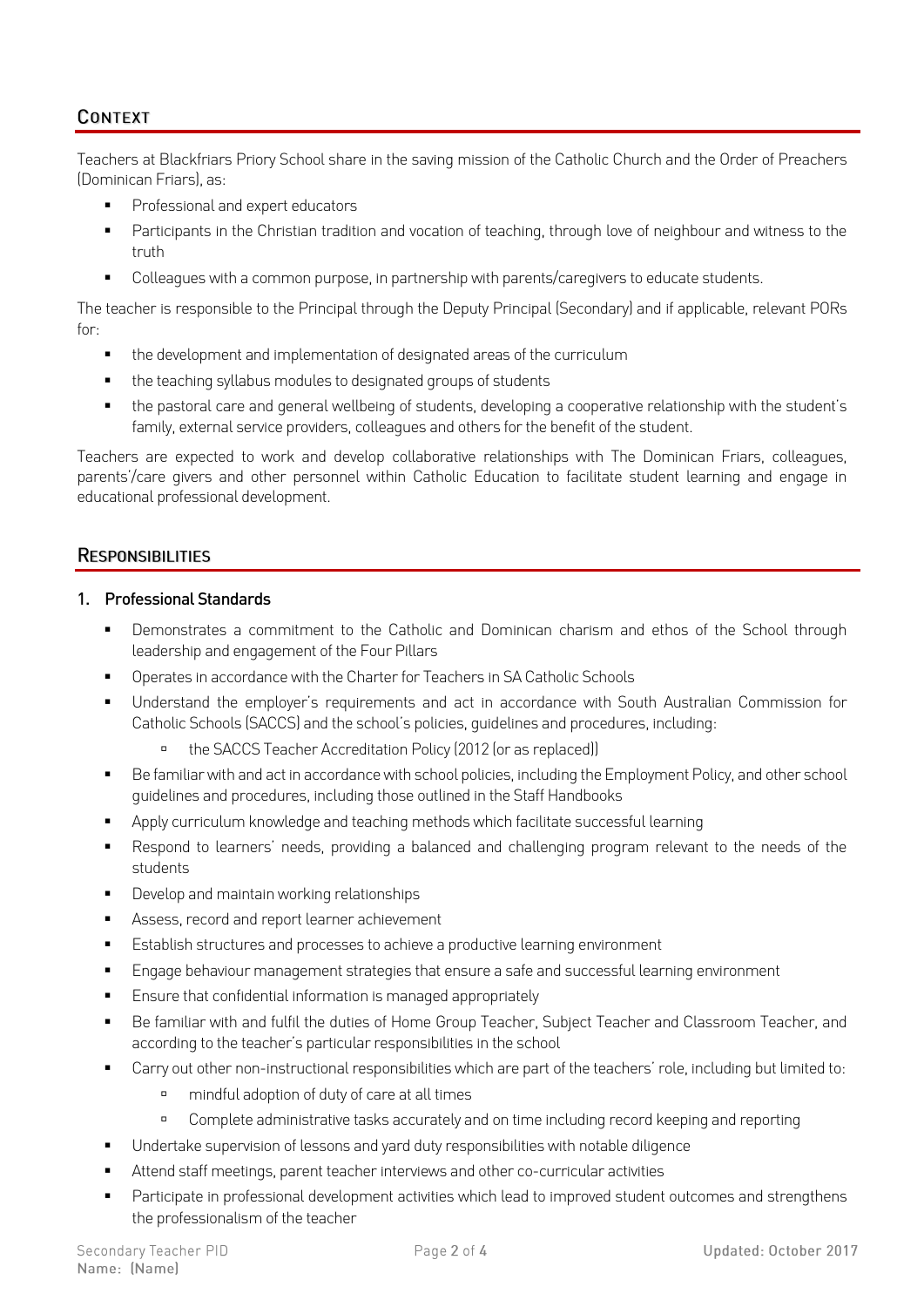#### **CONTEXT**

Teachers at Blackfriars Priory School share in the saving mission of the Catholic Church and the Order of Preachers (Dominican Friars), as:

- Professional and expert educators
- Participants in the Christian tradition and vocation of teaching, through love of neighbour and witness to the truth
- Colleagues with a common purpose, in partnership with parents/caregivers to educate students.

The teacher is responsible to the Principal through the Deputy Principal (Secondary) and if applicable, relevant PORs for:

- the development and implementation of designated areas of the curriculum
- the teaching syllabus modules to designated groups of students
- the pastoral care and general wellbeing of students, developing a cooperative relationship with the student's family, external service providers, colleagues and others for the benefit of the student.

Teachers are expected to work and develop collaborative relationships with The Dominican Friars, colleagues, parents'/care givers and other personnel within Catholic Education to facilitate student learning and engage in educational professional development.

#### **RESPONSIBILITIES**

#### 1. Professional Standards

- Demonstrates a commitment to the Catholic and Dominican charism and ethos of the School through leadership and engagement of the Four Pillars
- Operates in accordance with the Charter for Teachers in SA Catholic Schools
- Understand the employer's requirements and act in accordance with South Australian Commission for Catholic Schools (SACCS) and the school's policies, guidelines and procedures, including:
	- the SACCS Teacher Accreditation Policy (2012 (or as replaced))
- Be familiar with and act in accordance with school policies, including the Employment Policy, and other school guidelines and procedures, including those outlined in the Staff Handbooks
- Apply curriculum knowledge and teaching methods which facilitate successful learning
- Respond to learners' needs, providing a balanced and challenging program relevant to the needs of the students
- Develop and maintain working relationships
- Assess, record and report learner achievement
- Establish structures and processes to achieve a productive learning environment
- Engage behaviour management strategies that ensure a safe and successful learning environment
- Ensure that confidential information is managed appropriately
- Be familiar with and fulfil the duties of Home Group Teacher, Subject Teacher and Classroom Teacher, and according to the teacher's particular responsibilities in the school
- Carry out other non-instructional responsibilities which are part of the teachers' role, including but limited to:
	- mindful adoption of duty of care at all times
	- Complete administrative tasks accurately and on time including record keeping and reporting
- Undertake supervision of lessons and yard duty responsibilities with notable diligence
- Attend staff meetings, parent teacher interviews and other co-curricular activities
- Participate in professional development activities which lead to improved student outcomes and strengthens the professionalism of the teacher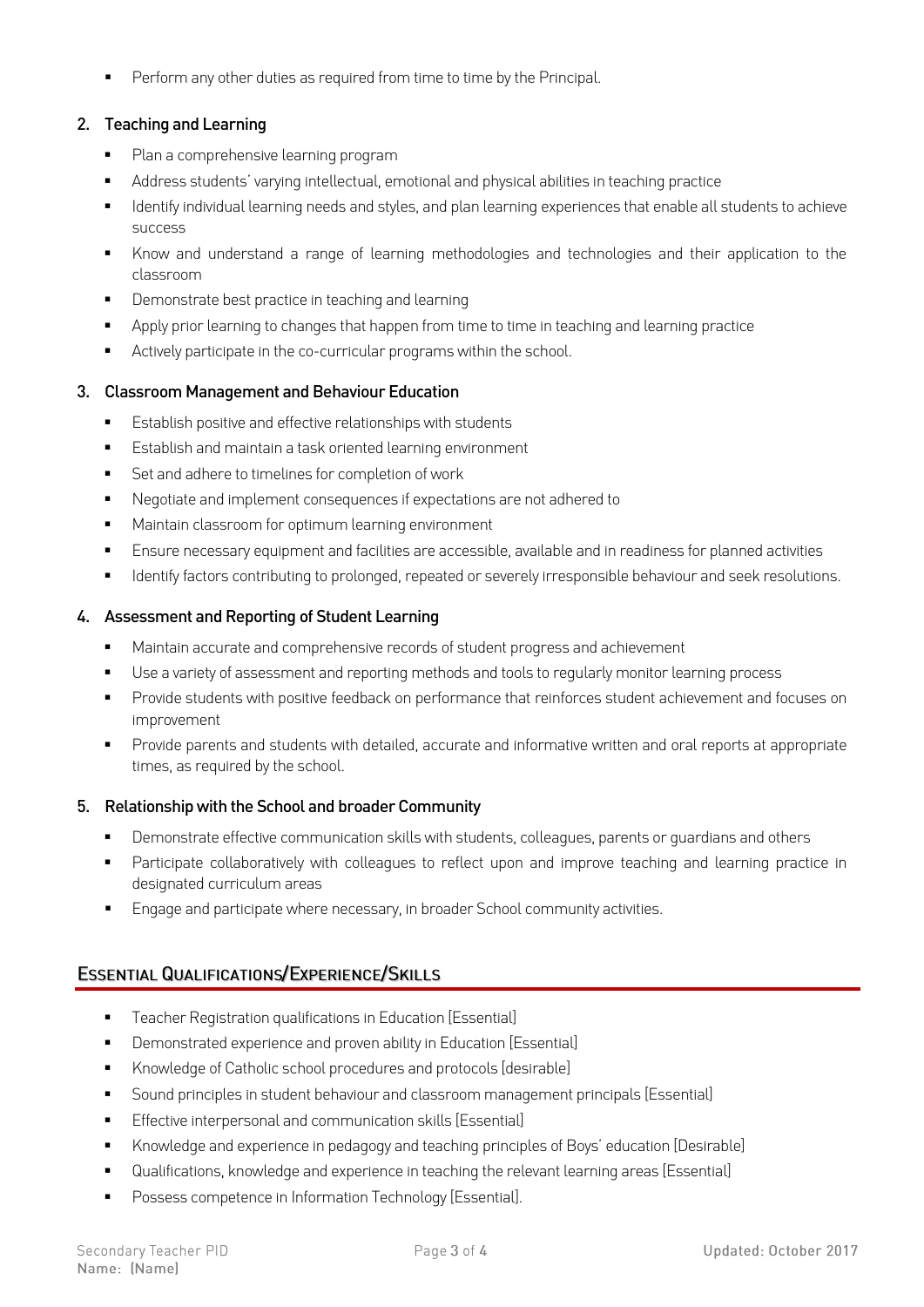Perform any other duties as required from time to time by the Principal.

#### 2. Teaching and Learning

- Plan a comprehensive learning program
- Address students' varying intellectual, emotional and physical abilities in teaching practice
- Identify individual learning needs and styles, and plan learning experiences that enable all students to achieve success
- Know and understand a range of learning methodologies and technologies and their application to the classroom
- Demonstrate best practice in teaching and learning
- Apply prior learning to changes that happen from time to time in teaching and learning practice
- Actively participate in the co-curricular programs within the school.

#### 3. Classroom Management and Behaviour Education

- Establish positive and effective relationships with students
- Establish and maintain a task oriented learning environment
- Set and adhere to timelines for completion of work
- Negotiate and implement consequences if expectations are not adhered to
- Maintain classroom for optimum learning environment
- Ensure necessary equipment and facilities are accessible, available and in readiness for planned activities
- **■** Identify factors contributing to prolonged, repeated or severely irresponsible behaviour and seek resolutions.

#### 4. Assessment and Reporting of Student Learning

- Maintain accurate and comprehensive records of student progress and achievement
- Use a variety of assessment and reporting methods and tools to regularly monitor learning process
- **•** Provide students with positive feedback on performance that reinforces student achievement and focuses on improvement
- Provide parents and students with detailed, accurate and informative written and oral reports at appropriate times, as required by the school.

#### 5. Relationship with the School and broader Community

- Demonstrate effective communication skills with students, colleagues, parents or guardians and others
- **•** Participate collaboratively with colleagues to reflect upon and improve teaching and learning practice in designated curriculum areas
- **Engage and participate where necessary, in broader School community activities.**

#### **ESSENTIAL QUALIFICATIONS/EXPERIENCE/SKILLS**

- **•** Teacher Registration qualifications in Education [Essential]
- **•** Demonstrated experience and proven ability in Education [Essential]
- Knowledge of Catholic school procedures and protocols [desirable]
- Sound principles in student behaviour and classroom management principals [Essential]
- Effective interpersonal and communication skills [Essential]
- Knowledge and experience in pedagogy and teaching principles of Boys' education [Desirable]
- Qualifications, knowledge and experience in teaching the relevant learning areas [Essential]
- Possess competence in Information Technology [Essential].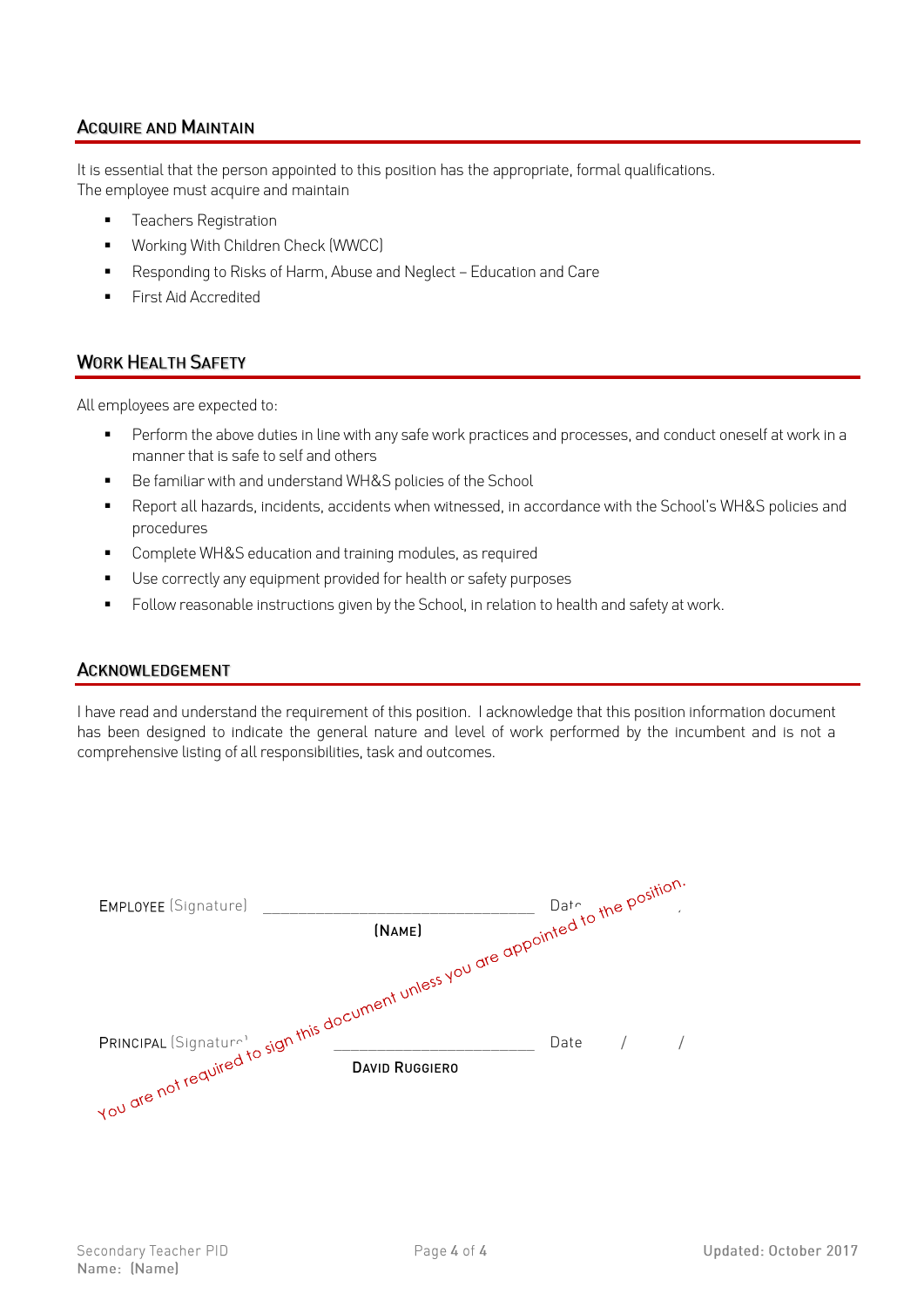#### **ACQUIRE AND MAINTAIN**

It is essential that the person appointed to this position has the appropriate, formal qualifications. The employee must acquire and maintain

- **•** Teachers Registration
- Working With Children Check (WWCC)
- Responding to Risks of Harm, Abuse and Neglect Education and Care
- **First Aid Accredited**

#### **WORK HEALTH SAFETY**

All employees are expected to:

- **•** Perform the above duties in line with any safe work practices and processes, and conduct oneself at work in a manner that is safe to self and others
- Be familiar with and understand WH&S policies of the School
- Report all hazards, incidents, accidents when witnessed, in accordance with the School's WH&S policies and procedures
- Complete WH&S education and training modules, as required
- Use correctly any equipment provided for health or safety purposes
- Follow reasonable instructions given by the School, in relation to health and safety at work.

#### **ACKNOWLEDGEMENT**

I have read and understand the requirement of this position. I acknowledge that this position information document has been designed to indicate the general nature and level of work performed by the incumbent and is not a comprehensive listing of all responsibilities, task and outcomes.